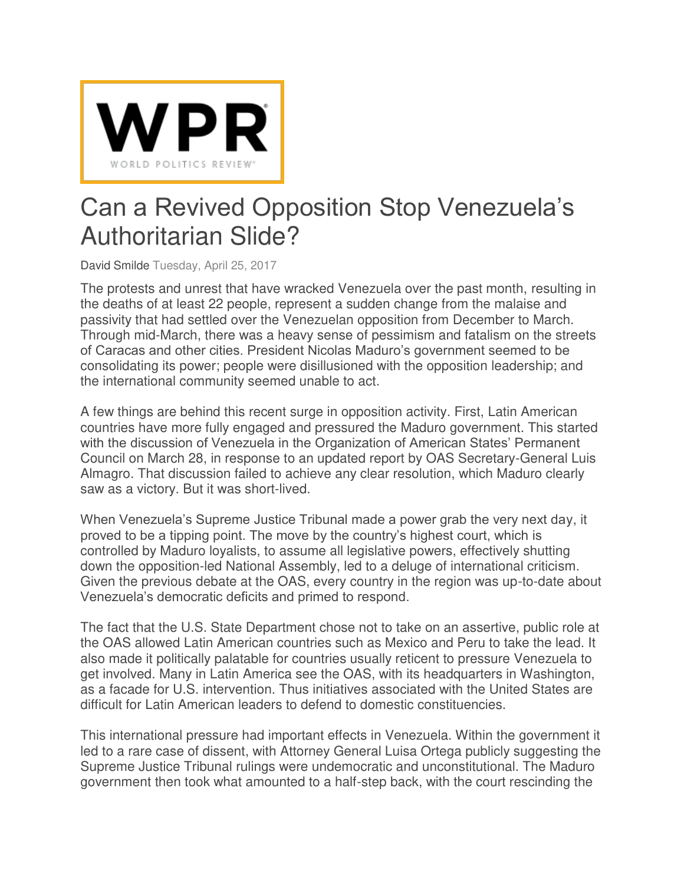

## Can a Revived Opposition Stop Venezuela's Authoritarian Slide?

[David Smilde](http://www.worldpoliticsreview.com/authors/933/david-smilde) Tuesday, April 25, 2017

The protests and unrest that have wracked Venezuela over the past month, resulting in the deaths of at least 22 people, represent a sudden change from the malaise and passivity that had settled over the Venezuelan opposition from December to March. Through mid-March, there was a heavy sense of pessimism and fatalism on the streets of Caracas and other cities. President Nicolas Maduro's government seemed to be consolidating its power; people were disillusioned with the opposition leadership; and the international community seemed unable to act.

A few things are behind this recent surge in opposition activity. First, Latin American countries have more fully engaged and pressured the Maduro government. This started with the discussion of Venezuela in the Organization of American States' Permanent Council on March 28, in response to an updated report by OAS Secretary-General Luis Almagro. That discussion failed to achieve any clear resolution, which Maduro clearly saw as a victory. But it was short-lived.

When Venezuela's Supreme Justice Tribunal made a power grab the very next day, it proved to be a tipping point. The move by the country's highest court, which is controlled by Maduro loyalists, to assume all legislative powers, effectively shutting down the opposition-led National Assembly, led to a deluge of international criticism. Given the previous debate at the OAS, every country in the region was up-to-date about Venezuela's democratic deficits and primed to respond.

The fact that the U.S. State Department chose not to take on an assertive, public role at the OAS allowed Latin American countries such as Mexico and Peru to take the lead. It also made it politically palatable for countries usually reticent to pressure Venezuela to get involved. Many in Latin America see the OAS, with its headquarters in Washington, as a facade for U.S. intervention. Thus initiatives associated with the United States are difficult for Latin American leaders to defend to domestic constituencies.

This international pressure had important effects in Venezuela. Within the government it led to a rare case of dissent, with Attorney General Luisa Ortega publicly suggesting the Supreme Justice Tribunal rulings were undemocratic and unconstitutional. The Maduro government then took what amounted to a half-step back, with the court rescinding the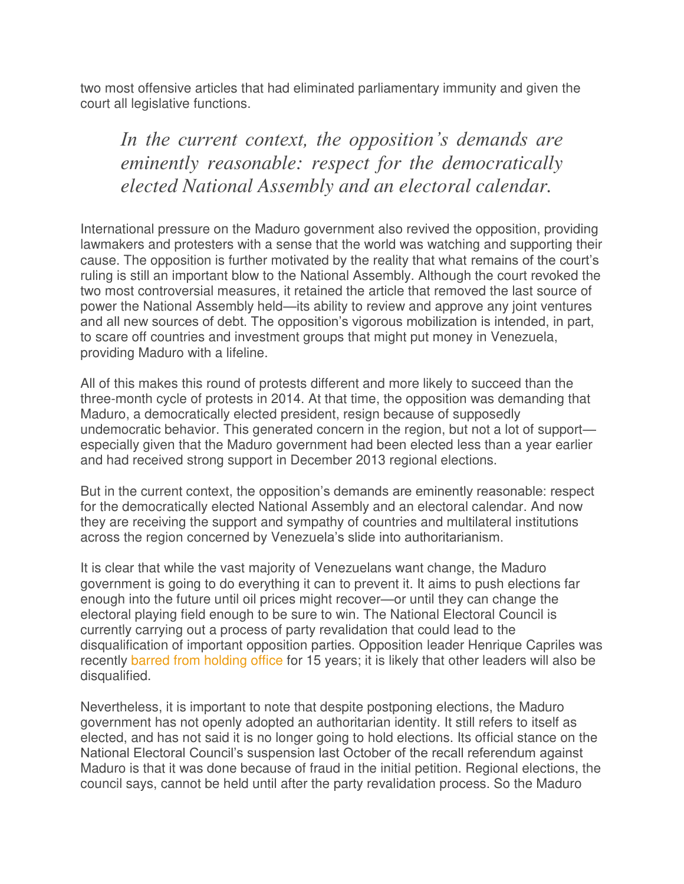two most offensive articles that had eliminated parliamentary immunity and given the court all legislative functions.

*In the current context, the opposition's demands are eminently reasonable: respect for the democratically elected National Assembly and an electoral calendar.*

International pressure on the Maduro government also revived the opposition, providing lawmakers and protesters with a sense that the world was watching and supporting their cause. The opposition is further motivated by the reality that what remains of the court's ruling is still an important blow to the National Assembly. Although the court revoked the two most controversial measures, it retained the article that removed the last source of power the National Assembly held—its ability to review and approve any joint ventures and all new sources of debt. The opposition's vigorous mobilization is intended, in part, to scare off countries and investment groups that might put money in Venezuela, providing Maduro with a lifeline.

All of this makes this round of protests different and more likely to succeed than the three-month cycle of protests in 2014. At that time, the opposition was demanding that Maduro, a democratically elected president, resign because of supposedly undemocratic behavior. This generated concern in the region, but not a lot of support especially given that the Maduro government had been elected less than a year earlier and had received strong support in December 2013 regional elections.

But in the current context, the opposition's demands are eminently reasonable: respect for the democratically elected National Assembly and an electoral calendar. And now they are receiving the support and sympathy of countries and multilateral institutions across the region concerned by Venezuela's slide into authoritarianism.

It is clear that while the vast majority of Venezuelans want change, the Maduro government is going to do everything it can to prevent it. It aims to push elections far enough into the future until oil prices might recover—or until they can change the electoral playing field enough to be sure to win. The National Electoral Council is currently carrying out a process of party revalidation that could lead to the disqualification of important opposition parties. Opposition leader Henrique Capriles was recently [barred from holding office](https://www.nytimes.com/2017/04/07/world/americas/venezuela-henrique-capriles-nicolas-maduro.html) for 15 years; it is likely that other leaders will also be disqualified.

Nevertheless, it is important to note that despite postponing elections, the Maduro government has not openly adopted an authoritarian identity. It still refers to itself as elected, and has not said it is no longer going to hold elections. Its official stance on the National Electoral Council's suspension last October of the recall referendum against Maduro is that it was done because of fraud in the initial petition. Regional elections, the council says, cannot be held until after the party revalidation process. So the Maduro